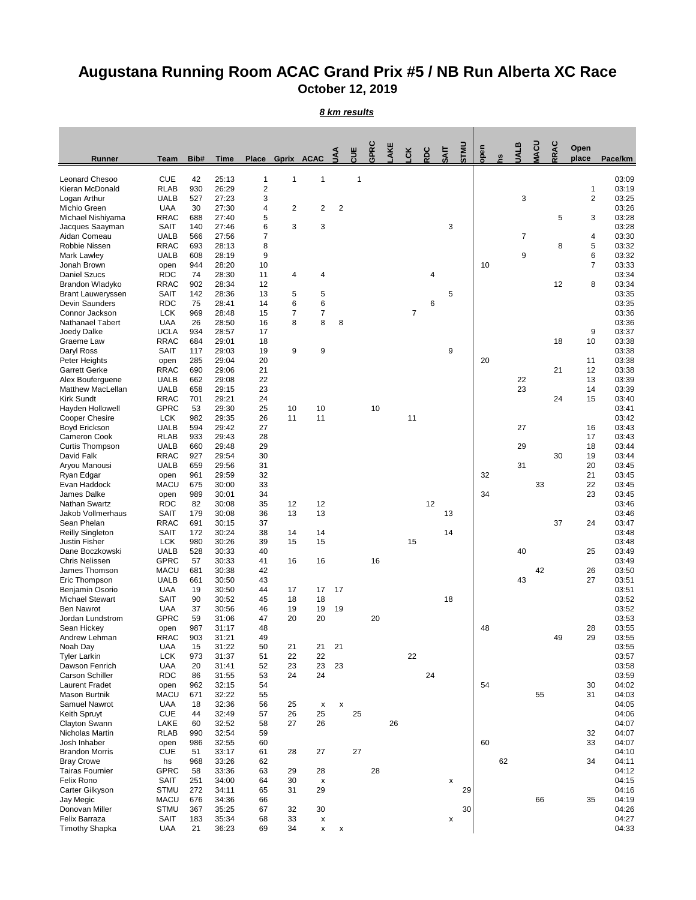## **Augustana Running Room ACAC Grand Prix #5 / NB Run Alberta XC Race October 12, 2019**

*8 km results*

| Runner                                      | <b>Team</b>                | Bib#       | <b>Time</b>    |                     | Place Gprix ACAC |          | ΛN             | ₩            | GPRC | AKE | čK | RDC | <b>TIKS</b> | <b>UNLS</b> | open |    | ALB | ZU | RRAC | Open<br>place                  | Pace/km        |
|---------------------------------------------|----------------------------|------------|----------------|---------------------|------------------|----------|----------------|--------------|------|-----|----|-----|-------------|-------------|------|----|-----|----|------|--------------------------------|----------------|
|                                             |                            |            |                |                     |                  |          |                |              |      |     |    |     |             |             |      |    |     |    |      |                                |                |
| <b>Leonard Chesoo</b>                       | <b>CUE</b>                 | 42         | 25:13          | $\mathbf{1}$        | 1                | 1        |                | $\mathbf{1}$ |      |     |    |     |             |             |      |    |     |    |      |                                | 03:09          |
| Kieran McDonald<br>Logan Arthur             | <b>RLAB</b><br><b>UALB</b> | 930<br>527 | 26:29<br>27:23 | $\overline{2}$<br>3 |                  |          |                |              |      |     |    |     |             |             |      |    | 3   |    |      | $\mathbf{1}$<br>$\overline{2}$ | 03:19<br>03:25 |
| Michio Green                                | <b>UAA</b>                 | 30         | 27:30          | 4                   | $\overline{2}$   | 2        | $\overline{2}$ |              |      |     |    |     |             |             |      |    |     |    |      |                                | 03:26          |
| Michael Nishiyama                           | <b>RRAC</b>                | 688        | 27:40          | 5                   |                  |          |                |              |      |     |    |     |             |             |      |    |     |    | 5    | 3                              | 03:28          |
| Jacques Saayman                             | <b>SAIT</b>                | 140        | 27:46          | 6                   | 3                | 3        |                |              |      |     |    |     | 3           |             |      |    |     |    |      |                                | 03:28          |
| Aidan Comeau<br>Robbie Nissen               | <b>UALB</b><br><b>RRAC</b> | 566<br>693 | 27:56<br>28:13 | 7<br>8              |                  |          |                |              |      |     |    |     |             |             |      |    | 7   |    | 8    | 4<br>5                         | 03:30<br>03:32 |
| Mark Lawley                                 | <b>UALB</b>                | 608        | 28:19          | 9                   |                  |          |                |              |      |     |    |     |             |             |      |    | 9   |    |      | 6                              | 03:32          |
| Jonah Brown                                 | open                       | 944        | 28:20          | 10                  |                  |          |                |              |      |     |    |     |             |             | 10   |    |     |    |      | $\overline{7}$                 | 03:33          |
| <b>Daniel Szucs</b>                         | <b>RDC</b>                 | 74         | 28:30          | 11                  | 4                | 4        |                |              |      |     |    | 4   |             |             |      |    |     |    |      |                                | 03:34          |
| Brandon Wladyko                             | <b>RRAC</b>                | 902        | 28:34          | 12                  |                  |          |                |              |      |     |    |     |             |             |      |    |     |    | 12   | 8                              | 03:34          |
| <b>Brant Lauweryssen</b><br>Devin Saunders  | <b>SAIT</b><br><b>RDC</b>  | 142<br>75  | 28:36<br>28:41 | 13<br>14            | 5<br>6           | 5<br>6   |                |              |      |     |    | 6   | 5           |             |      |    |     |    |      |                                | 03:35<br>03:35 |
| Connor Jackson                              | <b>LCK</b>                 | 969        | 28:48          | 15                  | 7                | 7        |                |              |      |     | 7  |     |             |             |      |    |     |    |      |                                | 03:36          |
| <b>Nathanael Tabert</b>                     | <b>UAA</b>                 | 26         | 28:50          | 16                  | 8                | 8        | 8              |              |      |     |    |     |             |             |      |    |     |    |      |                                | 03:36          |
| Joedy Dalke                                 | <b>UCLA</b>                | 934        | 28:57          | 17                  |                  |          |                |              |      |     |    |     |             |             |      |    |     |    |      | 9                              | 03:37          |
| Graeme Law                                  | <b>RRAC</b>                | 684        | 29:01          | 18                  |                  |          |                |              |      |     |    |     |             |             |      |    |     |    | 18   | 10                             | 03:38          |
| Daryl Ross                                  | <b>SAIT</b>                | 117<br>285 | 29:03<br>29:04 | 19<br>20            | 9                | 9        |                |              |      |     |    |     | 9           |             | 20   |    |     |    |      | 11                             | 03:38<br>03:38 |
| Peter Heights<br><b>Garrett Gerke</b>       | open<br><b>RRAC</b>        | 690        | 29:06          | 21                  |                  |          |                |              |      |     |    |     |             |             |      |    |     |    | 21   | 12                             | 03:38          |
| Alex Bouferguene                            | <b>UALB</b>                | 662        | 29:08          | 22                  |                  |          |                |              |      |     |    |     |             |             |      |    | 22  |    |      | 13                             | 03:39          |
| Matthew MacLellan                           | <b>UALB</b>                | 658        | 29:15          | 23                  |                  |          |                |              |      |     |    |     |             |             |      |    | 23  |    |      | 14                             | 03:39          |
| <b>Kirk Sundt</b>                           | <b>RRAC</b>                | 701        | 29:21          | 24                  |                  |          |                |              |      |     |    |     |             |             |      |    |     |    | 24   | 15                             | 03:40          |
| Hayden Hollowell                            | <b>GPRC</b>                | 53         | 29:30          | 25                  | 10               | 10       |                |              | 10   |     |    |     |             |             |      |    |     |    |      |                                | 03:41          |
| Cooper Chesire<br>Boyd Erickson             | <b>LCK</b><br><b>UALB</b>  | 982<br>594 | 29:35<br>29:42 | 26<br>27            | 11               | 11       |                |              |      |     | 11 |     |             |             |      |    | 27  |    |      | 16                             | 03:42<br>03:43 |
| Cameron Cook                                | <b>RLAB</b>                | 933        | 29:43          | 28                  |                  |          |                |              |      |     |    |     |             |             |      |    |     |    |      | 17                             | 03:43          |
| <b>Curtis Thompson</b>                      | <b>UALB</b>                | 660        | 29:48          | 29                  |                  |          |                |              |      |     |    |     |             |             |      |    | 29  |    |      | 18                             | 03:44          |
| David Falk                                  | <b>RRAC</b>                | 927        | 29:54          | 30                  |                  |          |                |              |      |     |    |     |             |             |      |    |     |    | 30   | 19                             | 03:44          |
| Aryou Manousi                               | <b>UALB</b>                | 659        | 29:56          | 31                  |                  |          |                |              |      |     |    |     |             |             |      |    | 31  |    |      | 20                             | 03:45          |
| Ryan Edgar                                  | open                       | 961        | 29:59          | 32                  |                  |          |                |              |      |     |    |     |             |             | 32   |    |     |    |      | 21                             | 03:45          |
| Evan Haddock<br>James Dalke                 | <b>MACU</b><br>open        | 675<br>989 | 30:00<br>30:01 | 33<br>34            |                  |          |                |              |      |     |    |     |             |             | 34   |    |     | 33 |      | 22<br>23                       | 03:45<br>03:45 |
| Nathan Swartz                               | <b>RDC</b>                 | 82         | 30:08          | 35                  | 12               | 12       |                |              |      |     |    | 12  |             |             |      |    |     |    |      |                                | 03:46          |
| Jakob Vollmerhaus                           | SAIT                       | 179        | 30:08          | 36                  | 13               | 13       |                |              |      |     |    |     | 13          |             |      |    |     |    |      |                                | 03:46          |
| Sean Phelan                                 | <b>RRAC</b>                | 691        | 30:15          | 37                  |                  |          |                |              |      |     |    |     |             |             |      |    |     |    | 37   | 24                             | 03:47          |
| <b>Reilly Singleton</b>                     | SAIT                       | 172        | 30:24          | 38                  | 14               | 14       |                |              |      |     |    |     | 14          |             |      |    |     |    |      |                                | 03:48          |
| <b>Justin Fisher</b><br>Dane Boczkowski     | <b>LCK</b><br><b>UALB</b>  | 980<br>528 | 30:26<br>30:33 | 39<br>40            | 15               | 15       |                |              |      |     | 15 |     |             |             |      |    | 40  |    |      | 25                             | 03:48<br>03:49 |
| <b>Chris Nelissen</b>                       | <b>GPRC</b>                | 57         | 30:33          | 41                  | 16               | 16       |                |              | 16   |     |    |     |             |             |      |    |     |    |      |                                | 03:49          |
| James Thomson                               | <b>MACU</b>                | 681        | 30:38          | 42                  |                  |          |                |              |      |     |    |     |             |             |      |    |     | 42 |      | 26                             | 03:50          |
| Eric Thompson                               | <b>UALB</b>                | 661        | 30:50          | 43                  |                  |          |                |              |      |     |    |     |             |             |      |    | 43  |    |      | 27                             | 03:51          |
| Benjamin Osorio                             | <b>UAA</b>                 | 19         | 30:50          | 44                  | 17               | 17       | 17             |              |      |     |    |     |             |             |      |    |     |    |      |                                | 03:51          |
| <b>Michael Stewart</b><br><b>Ben Nawrot</b> | <b>SAIT</b><br><b>UAA</b>  | 90<br>37   | 30:52<br>30:56 | 45<br>46            | 18<br>19         | 18<br>19 | 19             |              |      |     |    |     | 18          |             |      |    |     |    |      |                                | 03:52<br>03:52 |
| Jordan Lundstrom                            | <b>GPRC</b>                | 59         | 31:06          | 47                  | 20               | 20       |                |              | 20   |     |    |     |             |             |      |    |     |    |      |                                | 03:53          |
| Sean Hickey                                 | open                       | 987        | 31:17          | 48                  |                  |          |                |              |      |     |    |     |             |             | 48   |    |     |    |      | 28                             | 03:55          |
| Andrew Lehman                               | <b>RRAC</b>                | 903        | 31:21          | 49                  |                  |          |                |              |      |     |    |     |             |             |      |    |     |    | 49   | 29                             | 03:55          |
| Noah Day                                    | <b>UAA</b>                 | 15         | 31:22          | 50                  | 21               | 21       | 21             |              |      |     |    |     |             |             |      |    |     |    |      |                                | 03:55          |
| <b>Tyler Larkin</b><br>Dawson Fenrich       | <b>LCK</b><br><b>UAA</b>   | 973<br>20  | 31:37<br>31:41 | 51<br>52            | 22<br>23         | 22<br>23 | 23             |              |      |     | 22 |     |             |             |      |    |     |    |      |                                | 03:57<br>03:58 |
| <b>Carson Schiller</b>                      | <b>RDC</b>                 | 86         | 31:55          | 53                  | 24               | 24       |                |              |      |     |    | 24  |             |             |      |    |     |    |      |                                | 03:59          |
| <b>Laurent Fradet</b>                       | open                       | 962        | 32:15          | 54                  |                  |          |                |              |      |     |    |     |             |             | 54   |    |     |    |      | 30                             | 04:02          |
| <b>Mason Burtnik</b>                        | <b>MACU</b>                | 671        | 32:22          | 55                  |                  |          |                |              |      |     |    |     |             |             |      |    |     | 55 |      | 31                             | 04:03          |
| Samuel Nawrot                               | <b>UAA</b>                 | 18         | 32:36          | 56                  | 25               | x        | $\pmb{\times}$ |              |      |     |    |     |             |             |      |    |     |    |      |                                | 04:05          |
| Keith Spruyt<br>Clayton Swann               | <b>CUE</b><br>LAKE         | 44<br>60   | 32:49<br>32:52 | 57<br>58            | 26<br>27         | 25<br>26 |                | 25           |      | 26  |    |     |             |             |      |    |     |    |      |                                | 04:06<br>04:07 |
| Nicholas Martin                             | <b>RLAB</b>                | 990        | 32:54          | 59                  |                  |          |                |              |      |     |    |     |             |             |      |    |     |    |      | 32                             | 04:07          |
| Josh Inhaber                                | open                       | 986        | 32:55          | 60                  |                  |          |                |              |      |     |    |     |             |             | 60   |    |     |    |      | 33                             | 04:07          |
| <b>Brandon Morris</b>                       | <b>CUE</b>                 | 51         | 33:17          | 61                  | 28               | 27       |                | 27           |      |     |    |     |             |             |      |    |     |    |      |                                | 04:10          |
| <b>Bray Crowe</b>                           | hs                         | 968        | 33:26          | 62                  |                  |          |                |              |      |     |    |     |             |             |      | 62 |     |    |      | 34                             | 04:11          |
| <b>Tairas Fournier</b><br>Felix Rono        | <b>GPRC</b><br><b>SAIT</b> | 58<br>251  | 33:36<br>34:00 | 63<br>64            | 29<br>30         | 28       |                |              | 28   |     |    |     | x           |             |      |    |     |    |      |                                | 04:12<br>04:15 |
| Carter Gilkyson                             | <b>STMU</b>                | 272        | 34:11          | 65                  | 31               | x<br>29  |                |              |      |     |    |     |             | 29          |      |    |     |    |      |                                | 04:16          |
| Jay Megic                                   | <b>MACU</b>                | 676        | 34:36          | 66                  |                  |          |                |              |      |     |    |     |             |             |      |    |     | 66 |      | 35                             | 04:19          |
| Donovan Miller                              | <b>STMU</b>                | 367        | 35:25          | 67                  | 32               | 30       |                |              |      |     |    |     |             | 30          |      |    |     |    |      |                                | 04:26          |
| Felix Barraza                               | <b>SAIT</b>                | 183        | 35:34          | 68                  | 33               | x        |                |              |      |     |    |     | x           |             |      |    |     |    |      |                                | 04:27          |
| <b>Timothy Shapka</b>                       | <b>UAA</b>                 | 21         | 36:23          | 69                  | 34               | x        | x              |              |      |     |    |     |             |             |      |    |     |    |      |                                | 04:33          |